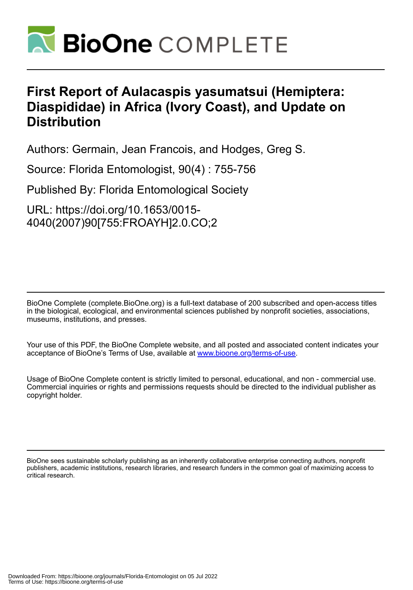

## **First Report of Aulacaspis yasumatsui (Hemiptera: Diaspididae) in Africa (Ivory Coast), and Update on Distribution**

Authors: Germain, Jean Francois, and Hodges, Greg S.

Source: Florida Entomologist, 90(4) : 755-756

Published By: Florida Entomological Society

URL: https://doi.org/10.1653/0015- 4040(2007)90[755:FROAYH]2.0.CO;2

BioOne Complete (complete.BioOne.org) is a full-text database of 200 subscribed and open-access titles in the biological, ecological, and environmental sciences published by nonprofit societies, associations, museums, institutions, and presses.

Your use of this PDF, the BioOne Complete website, and all posted and associated content indicates your acceptance of BioOne's Terms of Use, available at www.bioone.org/terms-of-use.

Usage of BioOne Complete content is strictly limited to personal, educational, and non - commercial use. Commercial inquiries or rights and permissions requests should be directed to the individual publisher as copyright holder.

BioOne sees sustainable scholarly publishing as an inherently collaborative enterprise connecting authors, nonprofit publishers, academic institutions, research libraries, and research funders in the common goal of maximizing access to critical research.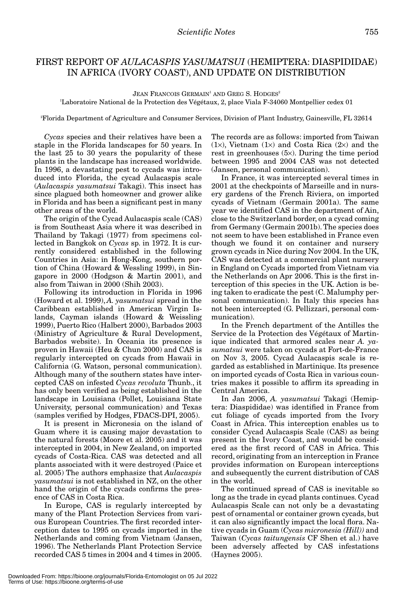## FIRST REPORT OF *AULACASPIS YASUMATSUI* (HEMIPTERA: DIASPIDIDAE) IN AFRICA (IVORY COAST), AND UPDATE ON DISTRIBUTION

JEAN FRANCOIS GERMAIN<sup>1</sup> AND GREG S. HODGES<sup>2</sup>

1 Laboratoire National de la Protection des Végétaux, 2, place Viala F-34060 Montpellier cedex 01

2 Florida Department of Agriculture and Consumer Services, Division of Plant Industry, Gainesville, FL 32614

*Cycas* species and their relatives have been a staple in the Florida landscapes for 50 years. In the last 25 to 30 years the popularity of these plants in the landscape has increased worldwide. In 1996, a devastating pest to cycads was introduced into Florida, the cycad Aulacaspis scale (*Aulacaspis yasumatsui* Takagi). This insect has since plagued both homeowner and grower alike in Florida and has been a significant pest in many other areas of the world.

The origin of the Cycad Aulacaspis scale (CAS) is from Southeast Asia where it was described in Thailand by Takagi (1977) from specimens collected in Bangkok on *Cycas* sp. in 1972. It is currently considered established in the following Countries in Asia: in Hong-Kong, southern portion of China (Howard & Wessling 1999), in Singapore in 2000 (Hodgson & Martin 2001), and also from Taiwan in 2000 (Shih 2003).

Following its introduction in Florida in 1996 (Howard et al. 1999), *A. yasumatsui* spread in the Caribbean established in American Virgin Islands, Cayman islands (Howard & Weissling 1999), Puerto Rico (Halbert 2000), Barbados 2003 (Ministry of Agriculture & Rural Development, Barbados website). In Oceania its presence is proven in Hawaii (Heu & Chun 2000) and CAS is regularly intercepted on cycads from Hawaii in California (G. Watson, personal communication). Although many of the southern states have intercepted CAS on infested *Cycas revoluta* Thunb., it has only been verified as being established in the landscape in Louisiana (Pollet, Louisiana State University, personal communication) and Texas (samples verified by Hodges, FDACS-DPI, 2005).

It is present in Micronesia on the island of Guam where it is causing major devastation to the natural forests (Moore et al. 2005) and it was intercepted in 2004, in New Zealand, on imported cycads of Costa-Rica. CAS was detected and all plants associated with it were destroyed (Paice et al. 2005) The authors emphasize that *Aulacaspis yasumatsui* is not established in NZ, on the other hand the origin of the cycads confirms the presence of CAS in Costa Rica.

In Europe, CAS is regularly intercepted by many of the Plant Protection Services from various European Countries. The first recorded interception dates to 1995 on cycads imported in the Netherlands and coming from Vietnam (Jansen, 1996). The Netherlands Plant Protection Service recorded CAS 5 times in 2004 and 4 times in 2005.

The records are as follows: imported from Taiwan  $(1\times)$ , Vietnam  $(1\times)$  and Costa Rica  $(2\times)$  and the rest in greenhouses (5×). During the time period between 1995 and 2004 CAS was not detected (Jansen, personal communication).

In France, it was intercepted several times in 2001 at the checkpoints of Marseille and in nursery gardens of the French Riviera, on imported cycads of Vietnam (Germain 2001a). The same year we identified CAS in the department of Ain, close to the Switzerland border, on a cycad coming from Germany (Germain 2001b). The species does not seem to have been established in France even though we found it on container and nursery grown cycads in Nice during Nov 2004. In the UK, CAS was detected at a commercial plant nursery in England on Cycads imported from Vietnam via the Netherlands on Apr 2006. This is the first interception of this species in the UK. Action is being taken to eradicate the pest (C. Malumphy personal communication). In Italy this species has not been intercepted (G. Pellizzari, personal communication).

In the French department of the Antilles the Service de la Protection des Végétaux of Martinique indicated that armored scales near *A. yasumatsui* were taken on cycads at Fort-de-France on Nov 3, 2005. Cycad Aulacaspis scale is regarded as established in Martinique. Its presence on imported cycads of Costa Rica in various countries makes it possible to affirm its spreading in Central America.

In Jan 2006, *A. yasumatsui* Takagi (Hemiptera: Diaspididae) was identified in France from cut foliage of cycads imported from the Ivory Coast in Africa. This interception enables us to consider Cycad Aulacaspis Scale (CAS) as being present in the Ivory Coast, and would be considered as the first record of CAS in Africa. This record, originating from an interception in France provides information on European interceptions and subsequently the current distribution of CAS in the world.

The continued spread of CAS is inevitable so long as the trade in cycad plants continues. Cycad Aulacaspis Scale can not only be a devastating pest of ornamental or container grown cycads, but it can also significantly impact the local flora. Native cycads in Guam (*Cycas micronesia (Hill))* and Taiwan (*Cycas taitungensis* CF Shen et al.) have been adversely affected by CAS infestations (Haynes 2005).